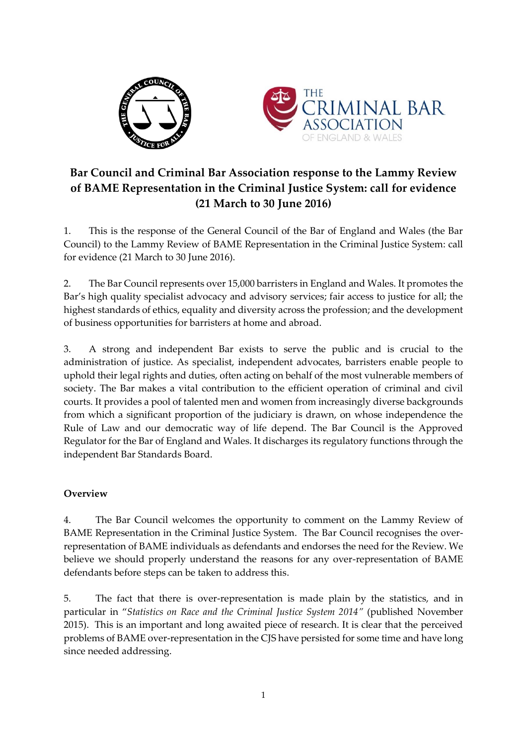



## **Bar Council and Criminal Bar Association response to the Lammy Review of BAME Representation in the Criminal Justice System: call for evidence (21 March to 30 June 2016)**

1. This is the response of the General Council of the Bar of England and Wales (the Bar Council) to the Lammy Review of BAME Representation in the Criminal Justice System: call for evidence (21 March to 30 June 2016).

2. The Bar Council represents over 15,000 barristers in England and Wales. It promotes the Bar's high quality specialist advocacy and advisory services; fair access to justice for all; the highest standards of ethics, equality and diversity across the profession; and the development of business opportunities for barristers at home and abroad.

3. A strong and independent Bar exists to serve the public and is crucial to the administration of justice. As specialist, independent advocates, barristers enable people to uphold their legal rights and duties, often acting on behalf of the most vulnerable members of society. The Bar makes a vital contribution to the efficient operation of criminal and civil courts. It provides a pool of talented men and women from increasingly diverse backgrounds from which a significant proportion of the judiciary is drawn, on whose independence the Rule of Law and our democratic way of life depend. The Bar Council is the Approved Regulator for the Bar of England and Wales. It discharges its regulatory functions through the independent Bar Standards Board.

## **Overview**

4. The Bar Council welcomes the opportunity to comment on the Lammy Review of BAME Representation in the Criminal Justice System. The Bar Council recognises the overrepresentation of BAME individuals as defendants and endorses the need for the Review. We believe we should properly understand the reasons for any over-representation of BAME defendants before steps can be taken to address this.

5. The fact that there is over-representation is made plain by the statistics, and in particular in "*Statistics on Race and the Criminal Justice System 2014"* (published November 2015). This is an important and long awaited piece of research. It is clear that the perceived problems of BAME over-representation in the CJS have persisted for some time and have long since needed addressing.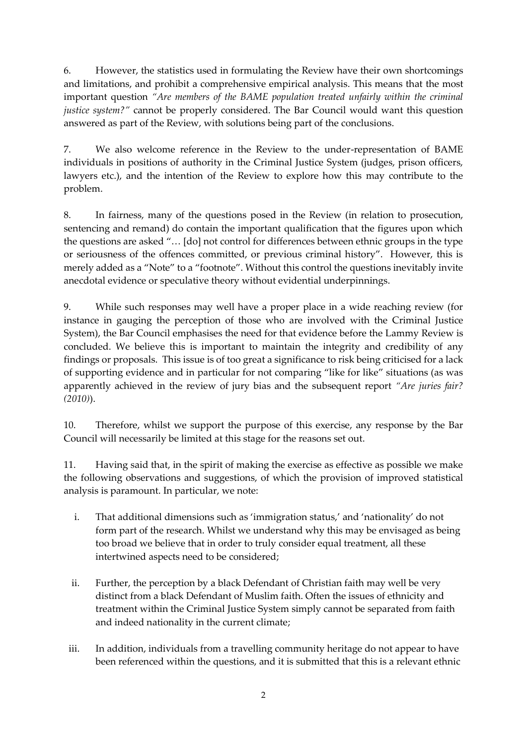6. However, the statistics used in formulating the Review have their own shortcomings and limitations, and prohibit a comprehensive empirical analysis. This means that the most important question *"Are members of the BAME population treated unfairly within the criminal justice system?"* cannot be properly considered. The Bar Council would want this question answered as part of the Review, with solutions being part of the conclusions.

7. We also welcome reference in the Review to the under-representation of BAME individuals in positions of authority in the Criminal Justice System (judges, prison officers, lawyers etc.), and the intention of the Review to explore how this may contribute to the problem.

8. In fairness, many of the questions posed in the Review (in relation to prosecution, sentencing and remand) do contain the important qualification that the figures upon which the questions are asked "… [do] not control for differences between ethnic groups in the type or seriousness of the offences committed, or previous criminal history". However, this is merely added as a "Note" to a "footnote". Without this control the questions inevitably invite anecdotal evidence or speculative theory without evidential underpinnings.

9. While such responses may well have a proper place in a wide reaching review (for instance in gauging the perception of those who are involved with the Criminal Justice System), the Bar Council emphasises the need for that evidence before the Lammy Review is concluded. We believe this is important to maintain the integrity and credibility of any findings or proposals. This issue is of too great a significance to risk being criticised for a lack of supporting evidence and in particular for not comparing "like for like" situations (as was apparently achieved in the review of jury bias and the subsequent report *"Are juries fair? (2010)*).

10. Therefore, whilst we support the purpose of this exercise, any response by the Bar Council will necessarily be limited at this stage for the reasons set out.

11. Having said that, in the spirit of making the exercise as effective as possible we make the following observations and suggestions, of which the provision of improved statistical analysis is paramount. In particular, we note:

- i. That additional dimensions such as 'immigration status,' and 'nationality' do not form part of the research. Whilst we understand why this may be envisaged as being too broad we believe that in order to truly consider equal treatment, all these intertwined aspects need to be considered;
- ii. Further, the perception by a black Defendant of Christian faith may well be very distinct from a black Defendant of Muslim faith. Often the issues of ethnicity and treatment within the Criminal Justice System simply cannot be separated from faith and indeed nationality in the current climate;
- iii. In addition, individuals from a travelling community heritage do not appear to have been referenced within the questions, and it is submitted that this is a relevant ethnic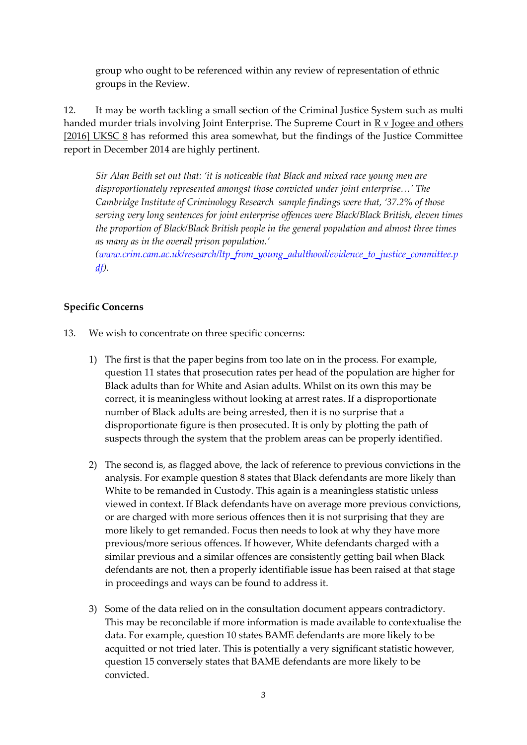group who ought to be referenced within any review of representation of ethnic groups in the Review.

12. It may be worth tackling a small section of the Criminal Justice System such as multi handed murder trials involving Joint Enterprise. The Supreme Court in R v Jogee and others [2016] UKSC 8 has reformed this area somewhat, but the findings of the Justice Committee report in December 2014 are highly pertinent.

*Sir Alan Beith set out that: 'it is noticeable that Black and mixed race young men are disproportionately represented amongst those convicted under joint enterprise…' The Cambridge Institute of Criminology Research sample findings were that, '37.2% of those serving very long sentences for joint enterprise offences were Black/Black British, eleven times the proportion of Black/Black British people in the general population and almost three times as many as in the overall prison population.'* 

*[\(www.crim.cam.ac.uk/research/ltp\\_from\\_young\\_adulthood/evidence\\_to\\_justice\\_committee.p](http://www.crim.cam.ac.uk/research/ltp_from_young_adulthood/evidence_to_justice_committee.pdf) [df\)](http://www.crim.cam.ac.uk/research/ltp_from_young_adulthood/evidence_to_justice_committee.pdf).*

## **Specific Concerns**

- 13. We wish to concentrate on three specific concerns:
	- 1) The first is that the paper begins from too late on in the process. For example, question 11 states that prosecution rates per head of the population are higher for Black adults than for White and Asian adults. Whilst on its own this may be correct, it is meaningless without looking at arrest rates. If a disproportionate number of Black adults are being arrested, then it is no surprise that a disproportionate figure is then prosecuted. It is only by plotting the path of suspects through the system that the problem areas can be properly identified.
	- 2) The second is, as flagged above, the lack of reference to previous convictions in the analysis. For example question 8 states that Black defendants are more likely than White to be remanded in Custody. This again is a meaningless statistic unless viewed in context. If Black defendants have on average more previous convictions, or are charged with more serious offences then it is not surprising that they are more likely to get remanded. Focus then needs to look at why they have more previous/more serious offences. If however, White defendants charged with a similar previous and a similar offences are consistently getting bail when Black defendants are not, then a properly identifiable issue has been raised at that stage in proceedings and ways can be found to address it.
	- 3) Some of the data relied on in the consultation document appears contradictory. This may be reconcilable if more information is made available to contextualise the data. For example, question 10 states BAME defendants are more likely to be acquitted or not tried later. This is potentially a very significant statistic however, question 15 conversely states that BAME defendants are more likely to be convicted.